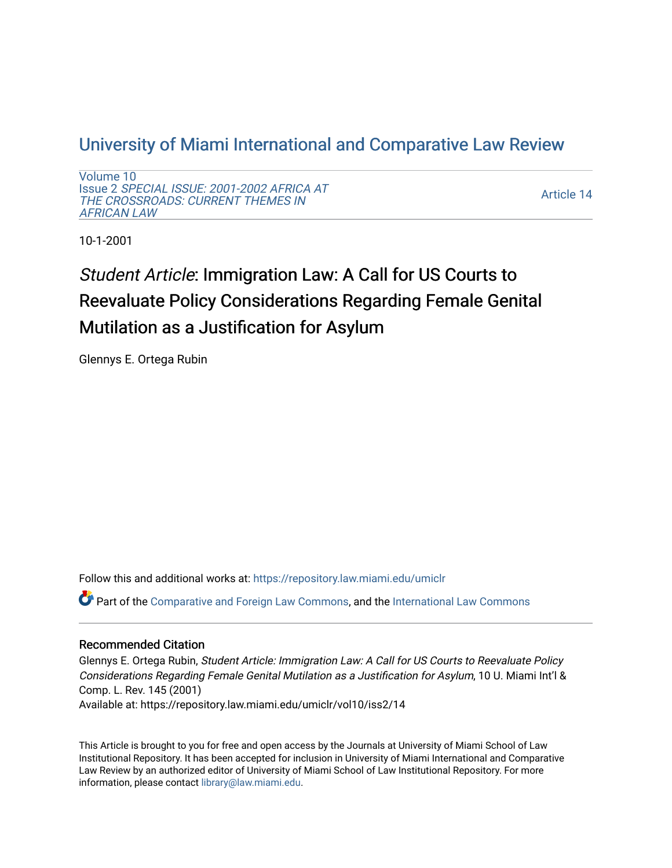# [University of Miami International and Comparative Law Review](https://repository.law.miami.edu/umiclr)

[Volume 10](https://repository.law.miami.edu/umiclr/vol10) Issue 2 [SPECIAL ISSUE: 2001-2002 AFRICA AT](https://repository.law.miami.edu/umiclr/vol10/iss2)  [THE CROSSROADS: CURRENT THEMES IN](https://repository.law.miami.edu/umiclr/vol10/iss2) [AFRICAN LAW](https://repository.law.miami.edu/umiclr/vol10/iss2) 

[Article 14](https://repository.law.miami.edu/umiclr/vol10/iss2/14) 

10-1-2001

# Student Article: Immigration Law: A Call for US Courts to Reevaluate Policy Considerations Regarding Female Genital Mutilation as a Justification for Asylum

Glennys E. Ortega Rubin

Follow this and additional works at: [https://repository.law.miami.edu/umiclr](https://repository.law.miami.edu/umiclr?utm_source=repository.law.miami.edu%2Fumiclr%2Fvol10%2Fiss2%2F14&utm_medium=PDF&utm_campaign=PDFCoverPages)

Part of the [Comparative and Foreign Law Commons,](http://network.bepress.com/hgg/discipline/836?utm_source=repository.law.miami.edu%2Fumiclr%2Fvol10%2Fiss2%2F14&utm_medium=PDF&utm_campaign=PDFCoverPages) and the [International Law Commons](http://network.bepress.com/hgg/discipline/609?utm_source=repository.law.miami.edu%2Fumiclr%2Fvol10%2Fiss2%2F14&utm_medium=PDF&utm_campaign=PDFCoverPages)

### Recommended Citation

Glennys E. Ortega Rubin, Student Article: Immigration Law: A Call for US Courts to Reevaluate Policy Considerations Regarding Female Genital Mutilation as a Justification for Asylum, 10 U. Miami Int'l & Comp. L. Rev. 145 (2001) Available at: https://repository.law.miami.edu/umiclr/vol10/iss2/14

This Article is brought to you for free and open access by the Journals at University of Miami School of Law Institutional Repository. It has been accepted for inclusion in University of Miami International and Comparative Law Review by an authorized editor of University of Miami School of Law Institutional Repository. For more information, please contact [library@law.miami.edu](mailto:library@law.miami.edu).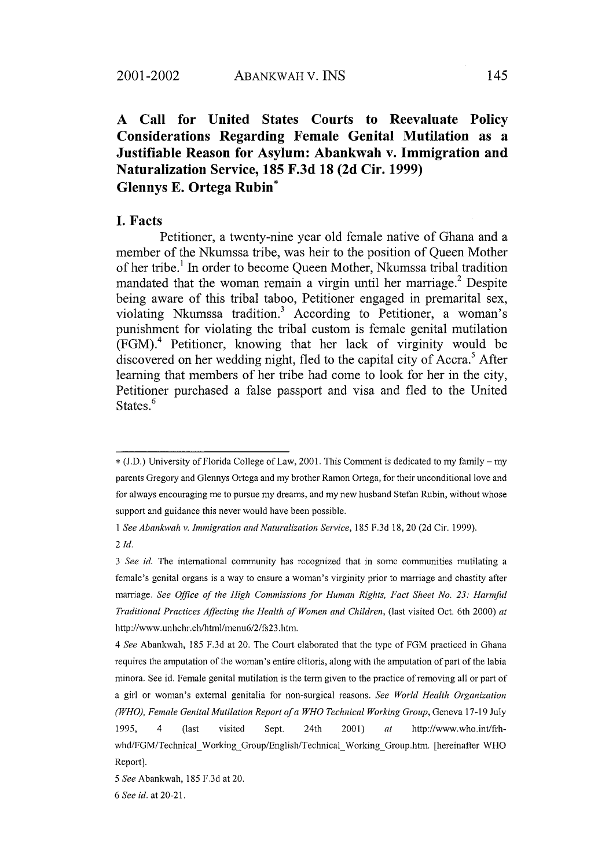## **A Call for United States Courts to Reevaluate Policy Considerations Regarding Female Genital Mutilation as a Justifiable Reason for Asylum: Abankwah v. Immigration and Naturalization Service, 185 F.3d 18 (2d Cir. 1999) Glennys E. Ortega Rubin\***

#### **I. Facts**

Petitioner, a twenty-nine year old female native of Ghana and a member of the Nkumssa tribe, was heir to the position of Queen Mother of her tribe.' In order to become Queen Mother, Nkumssa tribal tradition mandated that the woman remain a virgin until her marriage.<sup>2</sup> Despite being aware of this tribal taboo, Petitioner engaged in premarital sex, violating Nkumssa tradition.3 According to Petitioner, a woman's punishment for violating the tribal custom is female genital mutilation **(FGM).4** Petitioner, knowing that her lack of virginity would be discovered on her wedding night, fled to the capital city of Accra.<sup>5</sup> After learning that members of her tribe had come to look for her in the city, Petitioner purchased a false passport and visa and fled to the United States **.**

<sup>\*</sup> (J.D.) University of Florida College of Law, 2001. This Comment is dedicated to my family -my parents Gregory and Glennys Ortega and my brother Ramon Ortega, for their unconditional love and for always encouraging me to pursue my dreams, and my new husband Stefan Rubin, without whose support and guidance this never would have been possible.

*I See Abankwah v. Immigration and Naturalization Service,* 185 F.3d 18, 20 (2d Cir. 1999). *2 Id.*

*<sup>3</sup> See id.* The international community has recognized that in some communities mutilating a female's genital organs is a way to ensure a woman's virginity prior to marriage and chastity after marriage. *See Office of the High Commissions for Human Rights, Fact Sheet No. 23: Harmful Traditional Practices Affecting the Health of Women and Children,* (last visited Oct. 6th 2000) *at* http://www.unhchr.ch/html/menu6/2/fs23.htm.

*<sup>4</sup> See* Abankwah, 185 F.3d at 20. The Court elaborated that the type of FGM practiced in Ghana requires the amputation of the woman's entire clitoris, along with the amputation of part of the labia minora. See id. Female genital mutilation is the term given to the practice of removing all or part of a girl or woman's external genitalia for non-surgical reasons. *See World Health Organization (WHO), Female Genital Mutilation Report of a WHO Technical Working Group,* Geneva 17-19 July 1995, 4 (last visited Sept. 24th 2001) *at* http://www.who.int/frhwhd/FGM/Technical Working Group/English/Technical Working Group.htm. [hereinafter WHO Report].

*<sup>5</sup> See* Abankwah, 185 F.3d at 20.

*<sup>6</sup> See id.* at 20-21.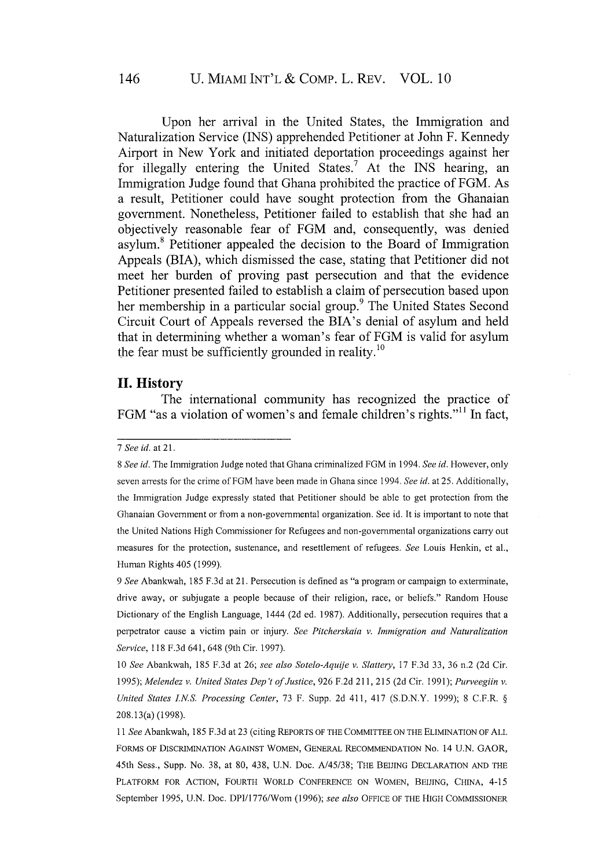#### U. MIAMI INT'L& COMP. L. REv. VOL. 10

Upon her arrival in the United States, the Immigration and Naturalization Service **(INS)** apprehended Petitioner at John F. Kennedy Airport in New York and initiated deportation proceedings against her for illegally entering the United States.<sup>7</sup> At the INS hearing, an Immigration Judge found that Ghana prohibited the practice of **FGM.** As a result, Petitioner could have sought protection from the Ghanaian government. Nonetheless, Petitioner failed to establish that she had an objectively reasonable fear of **FGM** and, consequently, was denied asylum.8 Petitioner appealed the decision to the Board of Immigration Appeals (BIA), which dismissed the case, stating that Petitioner did not meet her burden of proving past persecution and that the evidence Petitioner presented failed to establish a claim of persecution based upon her membership in a particular social group.<sup>9</sup> The United States Second Circuit Court of Appeals reversed the BIA's denial of asylum and held that in determining whether a woman's fear of **FGM** is valid for asylum the fear must be sufficiently grounded in reality.<sup>10</sup>

#### **II. History**

The international community has recognized the practice of FGM "as a violation of women's and female children's rights."<sup>11</sup> In fact,

146

*<sup>7</sup> See id.* at 21.

*<sup>8</sup> See id.* The Immigration Judge noted that Ghana criminalized **FGM** in 1994. *See id.* However, only seven ariests for the crime of FGM have been made in Ghana since 1994. *See id.* at 25. Additionally, the Immigration Judge expressly stated that Petitioner should be able to get protection from the Ghanaian Government or from a non-governmental organization. See id. It is important to note that the United Nations High Commissioner for Refugees and non-governmental organizations carry out measures for the protection, sustenance, and resettlement of refugees. *See* Louis Henkin, et al., Human Rights 405 (1999).

*<sup>9</sup> See* Abankwah, 185 F.3d at 21. Persecution is defined as "a program or campaign to exterminate, drive away, or subjugate a people because of **their** religion, race, or beliefs." Random House Dictionary of the English Language, 1444 (2d ed. 1987). Additionally, persecution requires that a perpetrator cause a victim pain or injury. *See Pitcherskaia v. Immigration* and *Naturalization Service,* 118 F.3d 641, 648 (9th Cir. 1997).

<sup>10</sup> *See* Abankwah, 185 F.3d at 26; *see also Sotelo-Aquije v. Slattery,* **17** F.3d 33, 36 n.2 (2d Cir. 1995); *Melendez v. United States Dep"t of Justice,* 926 F.2d 211, 215 (2d Cir. 1991); *Purveegiin v. United States INS. Processing Center,* 73 F. Supp. 2d 411, 417 (S.D.N.Y. 1999); 8 C.F.R. § 208.13(a) (1998).

*<sup>11</sup> See* Abankwah, 185 F.3d at 23 (citing REPORTS OF THE COMMITTEE ON THE ELIMINATION OF ALL FORMS OF DISCRIMINATION AGAINST WOMEN, GENERAL RECOMMENDATION No. 14 U.N. GAOR, 45th Sess., Supp. No. 38, at 80, 438, U.N. Doe. A/45/38; THE BEIJING DECLARATION AND THE PLATFORM FOR ACTION, FOURTH WORLD CONFERENCE ON WOMEN, BEIJING, CHINA, 4-15 September 1995, U.N. Doe. DPI/1776/Wom (1996); *see also* OFFICE OF THE HIGH COMMISSIONER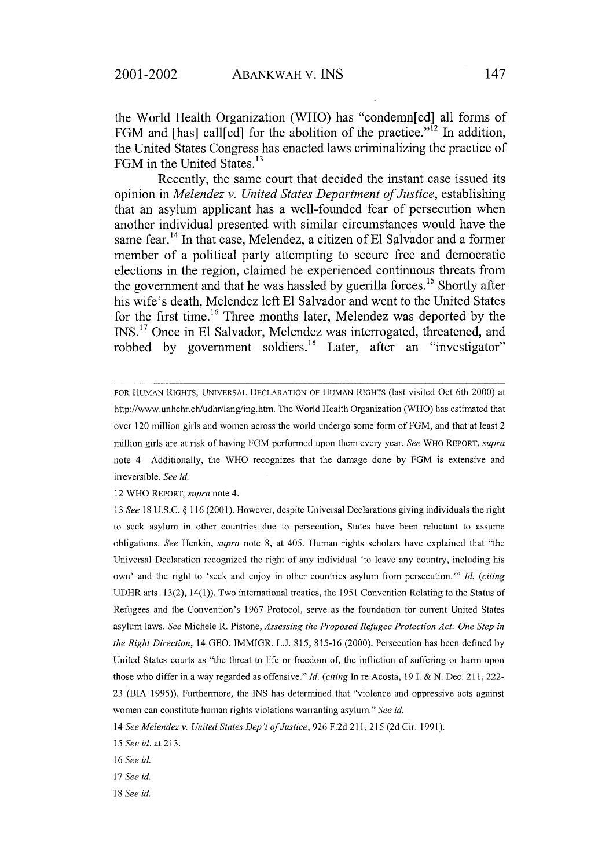the World Health Organization (WHO) has "condemn[ed] all forms of FGM and [has] call[ed] for the abolition of the practice."<sup>12</sup> In addition, the United States Congress has enacted laws criminalizing the practice of FGM in the United States.<sup>13</sup>

Recently, the same court that decided the instant case issued its opinion in *Melendez v. United States Department of Justice,* establishing that an asylum applicant has a well-founded fear of persecution when another individual presented with similar circumstances would have the same fear. 14 In that case, Melendez, a citizen of **El** Salvador and a former member of a political party attempting to secure free and democratic elections in the region, claimed he experienced continuous threats from the government and that he was hassled by guerilla forces.<sup>15</sup> Shortly after his wife's death, Melendez left **El** Salvador and went to the United States for the first time. 16 Three months later, Melendez was deported **by** the **INS.17** Once in **El** Salvador, Melendez was interrogated, threatened, and robbed by government soldiers.<sup>18</sup> Later, after an "investigator"

FOR HUMAN RIGHTS, UNIVERSAL **DECLARATION** OF **HUMAN** RIGHTS (last visited Oct 6th 2000) at http://www.unhchr.ch/udhr/lang/ing.htm. The World Health Organization (WHO) has estimated that over 120 million girls and women across the world undergo some form of FGM, and that at least 2 million girls are at risk of having **FGM** performed upon them every year. *See* WHO REPORT, *supra* note 4 Additionally, the WHO recognizes that the damage done by FGM is extensive and irreversible. *See id.*

12 WHO REPORT, *supra* note 4.

*13 See* 18 U.S.C. § 116 (2001). However, despite Universal Declarations giving individuals the right to seek asylum in other countries due to persecution, States have been reluctant to assume obligations. *See* Henkin, *supra* note 8, at 405. Human rights scholars have explained that "the Universal Declaration recognized the right of any individual 'to leave any country, including his own' and the right to 'seek and enjoy in other countries asylum from persecution."' *Id. (citing* UDHR arts. 13(2), 14(1)). Two international treaties, the 1951 Convention Relating to the Status of Refugees and the Convention's 1967 Protocol, serve as the foundation for current United States asylum laws. *See* Michele R. Pistone, *Assessing the Proposed Refugee Protection Act. One Step in the Right Direction,* 14 GEO. IMMIGR. L.J. 815, 815-16 (2000). Persecution has been defined by United States courts as "the threat to life or freedom of, the infliction of suffering or harm upon those who differ in a way regarded as offensive." *Id. (citing* In re Acosta, 19 **1.** & N. Dec. 211, 222- 23 (BIA 1995)). Furthermore, the INS has determined that "violence and oppressive acts against women can constitute human rights violations warranting asylum." *See id.*

*16 See id.*

*<sup>14</sup> See Melendez v. United States Dep't of Justice,* 926 F.2d 211, 215 (2d Cir. 1991).

*<sup>15</sup> See id.* at 213.

*<sup>17</sup> See id.*

*<sup>18</sup> See id.*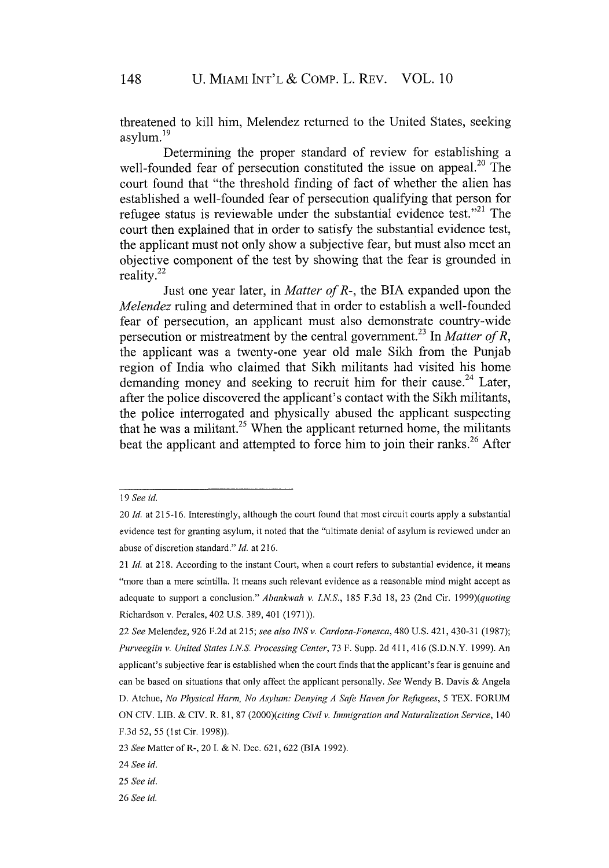threatened to kill him, Melendez returned to the United States, seeking asylum. $^{19}$ 

Determining the proper standard of review for establishing a well-founded fear of persecution constituted the issue on appeal.<sup>20</sup> The court found that "the threshold finding of fact of whether the alien has established a well-founded fear of persecution qualifying that person for refugee status is reviewable under the substantial evidence test."<sup>21</sup> The court then explained that in order to satisfy the substantial evidence test, the applicant must not only show a subjective fear, but must also meet an objective component of the test **by** showing that the fear is grounded in  $reality.<sup>22</sup>$ 

Just one year later, in *Matter of R-,* the BIA expanded upon the *Melendez* ruling and determined that in order to establish a well-founded fear of persecution, an applicant must also demonstrate country-wide persecution or mistreatment **by** the central government.23 In *Matter of R,* the applicant was a twenty-one year old male Sikh from the Punjab region of India who claimed that Sikh militants had visited his home demanding money and seeking to recruit him for their cause.<sup>24</sup> Later, after the police discovered the applicant's contact with the **Sikh** militants, the police interrogated and physically abused the applicant suspecting that he was a militant.<sup>25</sup> When the applicant returned home, the militants beat the applicant and attempted to force him to join their ranks.<sup>26</sup> After

*<sup>19</sup> See id.*

<sup>20</sup> *Id.* at 215-16. Interestingly, although the court found that most circuit courts apply a substantial evidence test for granting asylum, it noted that the "ultimate denial of asylum is reviewed under an abuse of discretion standard." *Id.* at 216.

<sup>21</sup> *Id.* at 218. According to the instant Court, when a court refers to substantial evidence, it means "more than a mere scintilla. It means such relevant evidence as a reasonable mind might accept as adequate to support a conclusion." *Abankwah v. IN.S.,* 185 F.3d 18, 23 (2nd Cir. *1999)(quoting* Richardson v. Perales, 402 U.S. 389, 401 (1971)).

*<sup>22</sup> See* Melendez, 926 F.2d at 215; *see also INS v. Cardoza-Fonesca,* 480 U.S. 421, 430-31 (1987); *Purveegiin* v. *United States INS. Processing Center,* 73 F. Supp. 2d 411,416 (S.D.N.Y. 1999). An applicant's subjective fear is established when the court finds that the applicant's fear is genuine and can be based on situations that only affect the applicant personally. *See* Wendy B. Davis **&** Angela D. Atchue, *No Physical Harm, No Asylum: Denying A Safe Haven for Refugees, 5* TEX. FORUM ON CIV. LIB. & CIV. R. 81, 87 *(2000)(citing Civil v. Immigration and Naturalization Service,* 140 **F.3d** 52, 55 (1st Cir. 1998)).

<sup>23</sup> *See* Matter of R-, 20 **1.** & N. Dec. 621, 622 (BIA 1992).

<sup>24</sup> *See id.*

*<sup>25</sup> See id.*

<sup>26</sup> *See id.*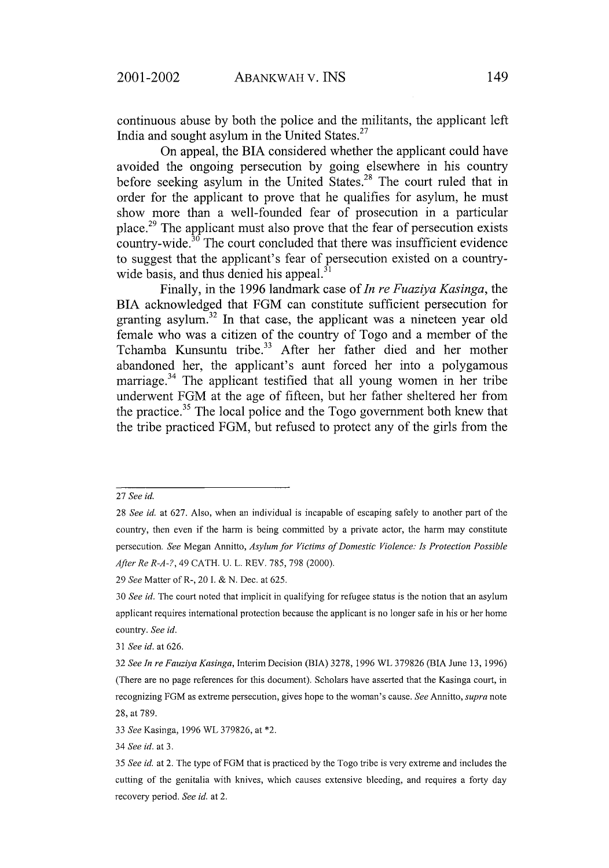continuous abuse by both the police and the militants, the applicant left India and sought asylum in the United States. $27$ 

On appeal, the BIA considered whether the applicant could have avoided the ongoing persecution by going elsewhere in his country before seeking asylum in the United States.<sup>28</sup> The court ruled that in order for the applicant to prove that he qualifies for asylum, he must show more than a well-founded fear of prosecution in a particular place.<sup>29</sup> The applicant must also prove that the fear of persecution exists country-wide.<sup>30</sup> The court concluded that there was insufficient evidence to suggest that the applicant's fear of persecution existed on a countrywide basis, and thus denied his appeal. $31$ 

Finally, in the 1996 landmark case of *In re Fuaziya Kasinga,* the BIA acknowledged that FGM can constitute sufficient persecution for granting asylum.<sup>32</sup> In that case, the applicant was a nineteen year old female who was a citizen of the country of Togo and a member of the Tchamba Kunsuntu tribe.<sup>33</sup> After her father died and her mother abandoned her, the applicant's aunt forced her into a polygamous marriage.<sup>34</sup> The applicant testified that all young women in her tribe underwent FGM at the age of fifteen, but her father sheltered her from the practice.<sup>35</sup> The local police and the Togo government both knew that the tribe practiced FGM, but refused to protect any of the girls from the

34 *See id.* at 3.

<sup>27</sup> *See id.*

<sup>28</sup> *See id.* at 627. Also, when an individual is incapable of escaping safely to another part of the country, then even if the harm is being committed by a private actor, the harm may constitute persecution. *See* Megan Annitto, *Asylum for Victims of Domestic Violence: Is Protection Possible After Re R-A-?,* 49 CATH. U. L. REV. 785, 798 (2000).

<sup>29</sup> *See* Matter of R-, 20 **1.** & N. Dec. at 625.

<sup>30</sup> *See id.* The court noted that implicit in qualifying for refugee status is the notion that an asylum applicant requires international protection because the applicant is no longer safe in his or her home country. *See id.*

<sup>31</sup> *See id.* at 626.

*<sup>32</sup> See In re Fauziya Kasinga,* Interim Decision (BIA) 3278, 1996 WL 379826 (BIA June 13, 1996) (There are no page references for this document). Scholars have asserted that the Kasinga court, in recognizing FGM as extreme persecution, gives hope to the woman's cause. *See* Annitto, *supra* note 28, at 789.

<sup>33</sup> *See* Kasinga, 1996 WL 379826, at \*2.

<sup>35</sup> *See id.* at 2. The type of FGM that is practiced by the Togo tribe is very extreme and includes the cutting of the genitalia with knives, which causes extensive bleeding, and requires a forty day recovery period. *See id.* at 2.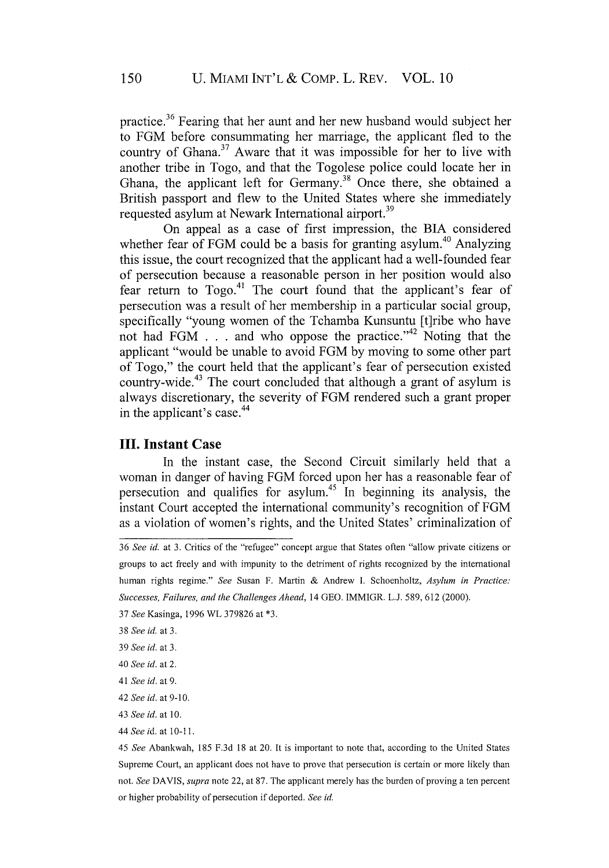practice.36 Fearing that her aunt and her new husband would subject her to FGM before consummating her marriage, the applicant fled to the country of Ghana.<sup>37</sup> Aware that it was impossible for her to live with another tribe in Togo, and that the Togolese police could locate her in Ghana, the applicant left for Germany.<sup>38</sup> Once there, she obtained a British passport and flew to the United States where she immediately requested asylum at Newark International airport.<sup>39</sup>

On appeal as a case of first impression, the BIA considered whether fear of FGM could be a basis for granting asylum.<sup>40</sup> Analyzing this issue, the court recognized that the applicant had a well-founded fear of persecution because a reasonable person in her position would also fear return to Togo.<sup>41</sup> The court found that the applicant's fear of persecution was a result of her membership in a particular social group, specifically "young women of the Tchamba Kunsuntu [t]ribe who have not had FGM  $\ldots$  and who oppose the practice."<sup>42</sup> Noting that the applicant "would be unable to avoid FGM by moving to some other part of Togo," the court held that the applicant's fear of persecution existed country-wide. 43 The court concluded that although a grant of asylum is always discretionary, the severity of FGM rendered such a grant proper in the applicant's case.<sup>44</sup>

#### **II. Instant Case**

In the instant case, the Second Circuit similarly held that a woman in danger of having FGM forced upon her has a reasonable fear of persecution and qualifies for asylum.45 In beginning its analysis, the instant Court accepted the international community's recognition of FGM as a violation of women's rights, and the United States' criminalization of

<sup>36</sup> *See id.* at 3. Critics of the "refugee" concept argue that States often "allow private citizens or groups to act freely and with impunity to the detriment of rights recognized by the international human rights regime." *See* Susan F. Martin & Andrew I. Schoenholtz, *Asylum in Practice. Successes, Failures,* and *the Challenges Ahead,* 14 GEO. IMMIGR. **L.J.** 589, 612 (2000).

<sup>37</sup> *See* Kasinga, 1996 WL 379826 at **\*3.**

**<sup>38</sup>***Seeid.* at3.

<sup>39</sup> *See id.* at 3.

<sup>40</sup> *See id.* at 2.

<sup>41</sup> *See id.* at 9.

<sup>42</sup> *See id.* at 9-10.

<sup>43</sup> *See id.* at 10.

*<sup>44</sup> See id.* at 10-11.

*<sup>45</sup> See* Abankwah, 185 F.3d 18 at 20. It is important to note that, according to the United States Supreme Court, an applicant does not have to prove that persecution is certain or more likely than not. *See* DAVIS, *supra* note 22, at 87. The applicant merely has the burden of proving a ten percent or higher probability of persecution if deported. *See id.*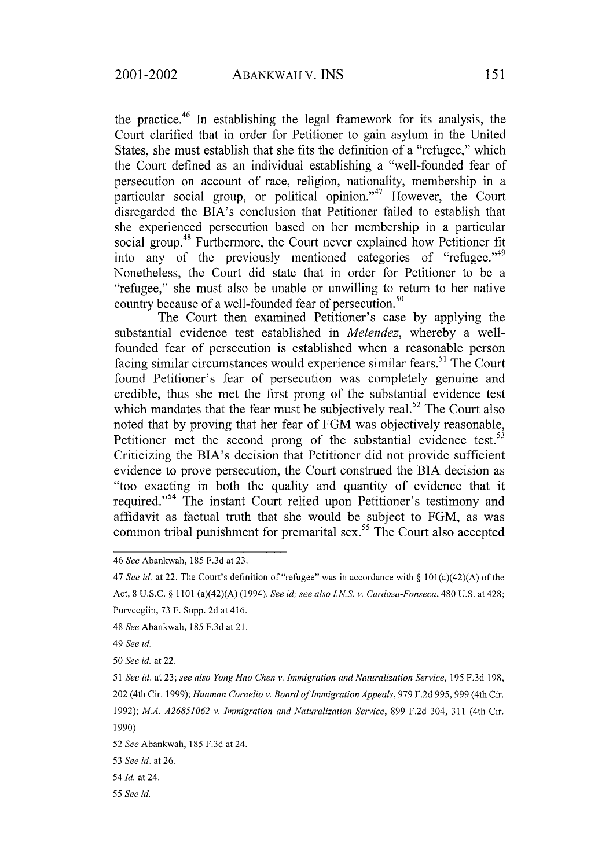the practice.<sup>46</sup> In establishing the legal framework for its analysis, the Court clarified that in order for Petitioner to gain asylum in the United States, she must establish that she fits the definition of a "refugee," which the Court defined as an individual establishing a "well-founded fear of persecution on account of race, religion, nationality, membership in a particular social group, or political opinion."<sup>47</sup> However, the Court disregarded the BIA's conclusion that Petitioner failed to establish that she experienced persecution based on her membership in a particular social group.<sup>48</sup> Furthermore, the Court never explained how Petitioner fit into any of the previously mentioned categories of "refugee."<sup>49</sup> Nonetheless, the Court did state that in order for Petitioner to be a "refugee," she must also be unable or unwilling to return to her native country because of a well-founded fear of persecution.<sup>50</sup>

The Court then examined Petitioner's case by applying the substantial evidence test established in *Melendez,* whereby a wellfounded fear of persecution is established when a reasonable person facing similar circumstances would experience similar fears.51 The Court found Petitioner's fear of persecution was completely genuine and credible, thus she met the first prong of the substantial evidence test which mandates that the fear must be subjectively real.<sup>52</sup> The Court also noted that by proving that her fear of FGM was objectively reasonable, Petitioner met the second prong of the substantial evidence test. $53$ Criticizing the BIA's decision that Petitioner did not provide sufficient evidence to prove persecution, the Court construed the BIA decision as "too exacting in both the quality and quantity of evidence that it required."<sup>54</sup> The instant Court relied upon Petitioner's testimony and affidavit as factual truth that she would be subject to FGM, as was common tribal punishment for premarital sex.<sup>55</sup> The Court also accepted

51 *See id.* at 23; *see also Yong Hao Chen v. Immigration and Naturalization Service,* 195 F.3d 198, 202 (4th Cir. 1999); *Huaman Cornelio v. Board of Immigration Appeals,* 979 F.2d 995, 999 (4th Cir. 1992); *M.A. A26851062 v. Immigration and Naturalization Service,* 899 F.2d 304, 311 (4th Cir. 1990).

*<sup>46</sup> See* Abankwah, 185 F.3d at 23.

*<sup>47</sup> See id.* at 22. The Court's definition of "refugee" was in accordance with § 101(a)(42)(A) of the Act, 8 U.S.C. § 1101 (a)(42)(A) (1994). See id; see also **IN.S.** *v.* Cardoza-Fonseca, 480 U.S. at 428;

Purveegiin, 73 F. Supp. 2d at 416.

<sup>48</sup> *See* Abankwah, 185 F.3d at 21.

*<sup>49</sup> See id.*

<sup>50</sup> *See id.* at 22.

*<sup>52</sup>* See Abankwah, 185 F.3d at 24.

<sup>53</sup> *See id.* at 26.

<sup>54</sup> *Id.* at 24.

<sup>55</sup> *See id.*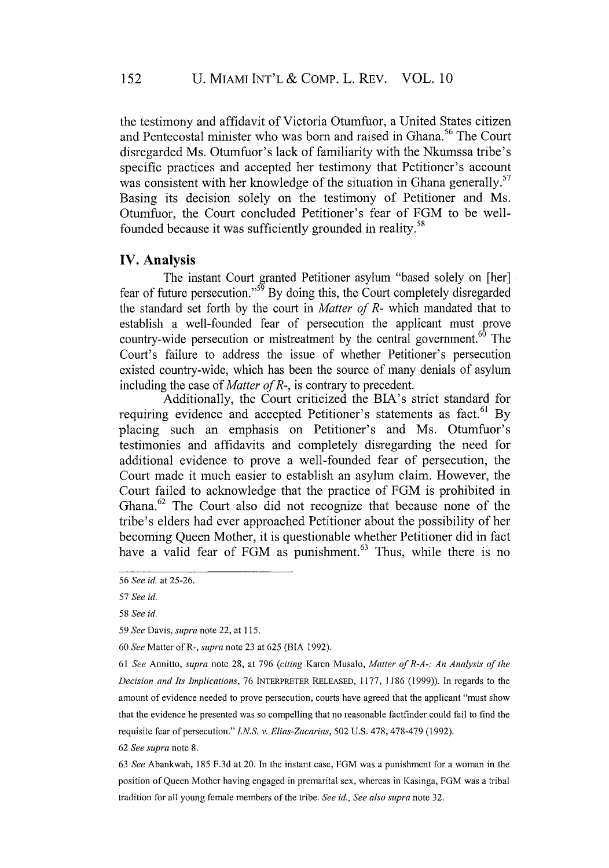the testimony and affidavit of Victoria Otumfuor, a United States citizen and Pentecostal minister who was born and raised in Ghana.<sup>56</sup> The Court disregarded Ms. Otumfuor's lack of familiarity with the Nkumssa tribe's specific practices and accepted her testimony that Petitioner's account was consistent with her knowledge of the situation in Ghana generally.<sup>57</sup> Basing its decision solely on the testimony of Petitioner and Ms. Otumfuor, the Court concluded Petitioner's fear of FGM to be wellfounded because it was sufficiently grounded in reality.<sup>58</sup>

#### **IV. Analysis**

The instant Court granted Petitioner asylum "based solely on [her] fear of future persecution."<sup>59</sup> By doing this, the Court completely disregarded the standard set forth by the court in *Matter of R-* which mandated that to establish a well-founded fear of persecution the applicant must prove country-wide persecution or mistreatment by the central government.<sup>60</sup> The Court's failure to address the issue of whether Petitioner's persecution existed country-wide, which has been the source of many denials of asylum including the case of *Matter of R-,* is contrary to precedent.

Additionally, the Court criticized the BIA's strict standard for requiring evidence and accepted Petitioner's statements as fact.<sup>61</sup> By placing such an emphasis on Petitioner's and Ms. Otumfuor's testimonies and affidavits and completely disregarding the need for additional evidence to prove a well-founded fear of persecution, the Court made it much easier to establish an asylum claim. However, the Court failed to acknowledge that the practice of FGM is prohibited in Ghana.<sup>62</sup> The Court also did not recognize that because none of the tribe's elders had ever approached Petitioner about the possibility of her becoming Queen Mother, it is questionable whether Petitioner did in fact have a valid fear of FGM as punishment.<sup>63</sup> Thus, while there is no

<sup>61</sup>*See* Annitto, *supra* note 28, at *796 (citing* Karen Musalo, *Matter of R-A-: An Analysis of the Decision and Its Implications,* 76 INTERPRETER RELEASED, 1177, 1186 (1999)). In regards to the amount of evidence needed to prove persecution, courts have agreed that the applicant "must show that the evidence he presented was so compelling that no reasonable factfinder could fail to find the requisite fear of persecution." *INS. v. Elias-Zacarias,* 502 U.S. 478, 478-479 (1992).

62 *See supra* note 8.

*63 See* Abankwah, 185 F.3d at 20. In the instant case, FGM was a punishment for a woman in the position of Queen Mother having engaged in premarital sex, whereas in Kasinga, FGM was a tribal tradition for all young female members of the tribe. *See id., See also supra* note 32.

*<sup>56</sup> See id.* at 25-26.

<sup>57</sup> *See id.*

*<sup>58</sup> See id.*

*<sup>59</sup> See* Davis, *supra* note 22, at 115.

*<sup>60</sup> See* Matter of R-, *supra* note 23 at 625 (BIA 1992).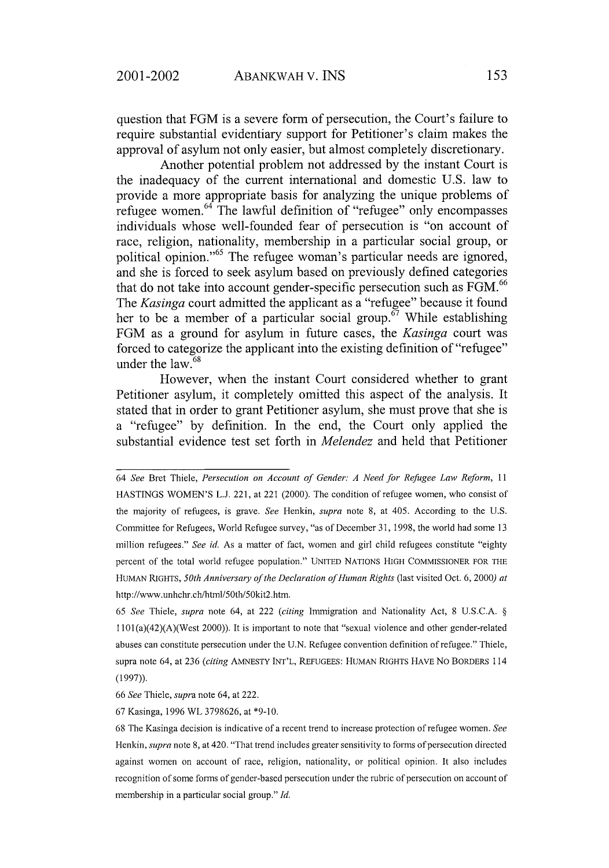question that FGM is a severe form of persecution, the Court's failure to require substantial evidentiary support for Petitioner's claim makes the approval of asylum not only easier, but almost completely discretionary.

Another potential problem not addressed by the instant Court is the inadequacy of the current international and domestic U.S. law to provide a more appropriate basis for analyzing the unique problems of refugee women.<sup>64</sup> The lawful definition of "refugee" only encompasses individuals whose well-founded fear of persecution is "on account of race, religion, nationality, membership in a particular social group, or political opinion."<sup>65</sup> The refugee woman's particular needs are ignored, and she is forced to seek asylum based on previously defined categories that do not take into account gender-specific persecution such as FGM.<sup>66</sup> The *Kasinga* court admitted the applicant as a "refugee" because it found her to be a member of a particular social group.<sup> $\sigma$ </sup> While establishing FGM as a ground for asylum in future cases, the *Kasinga* court was forced to categorize the applicant into the existing definition of "refugee" under the law.<sup>68</sup>

However, when the instant Court considered whether to grant Petitioner asylum, it completely omitted this aspect of the analysis. It stated that in order to grant Petitioner asylum, she must prove that she is a "refugee" by definition. In the end, the Court only applied the substantial evidence test set forth in *Melendez* and held that Petitioner

67 Kasinga, 1996 WL 3798626, at **\*9-10.**

*<sup>64</sup> See* Bret Thiele, *Persecution on Account of Gender: A Need for Refugee Law Reform, 11* HASTINGS WOMEN'S **L.J.** 221, at 221 (2000). The condition of refugee women, who consist of the majority of refugees, is grave. *See* Henkin, *supra* note 8, at 405. According to the U.S. Committee for Refugees, World Refugee survey, "as of December 31, 1998, the world had some 13 million refugees." *See id.* As a matter of fact, women and girl child refugees constitute "eighty percent of the total world refugee population." UNITED NATIONS HIGH COMMISSIONER FOR THE HUMAN RIGHTS, 50th *Anniversary of the Declaration of Human Rights* (last visited Oct. 6, 2000) *at* http://www.unhchr.ch/html/50th/50kit2.htm.

<sup>65</sup> *See* Thiele, *supra* note 64, at 222 *(citing* Immigration and Nationality Act, 8 U.S.C.A. § 1 101 (a)(42)(A)(West 2000)). It is important to note that "sexual violence and other gender-related abuses can constitute persecution under the U.N. Refugee convention definition of refugee." Thiele, supra note 64, at 236 *(citing* AMNESTY INT'L, REFUGEES: HUMAN RIGHTS HAVE No BORDERS 114 (1997)).

<sup>66</sup> *See* Thiele, *supra* note 64, at 222.

<sup>68</sup> The Kasinga decision is indicative of a recent trend to increase protection of refugee women. *See* Henkin, *supra* note 8, at 420. "That trend includes greater sensitivity to forms of persecution directed against women on account of race, religion, nationality, or political opinion. It also includes recognition of some forms of gender-based persecution under the rubric of persecution on account of membership in a particular social group." *Id.*